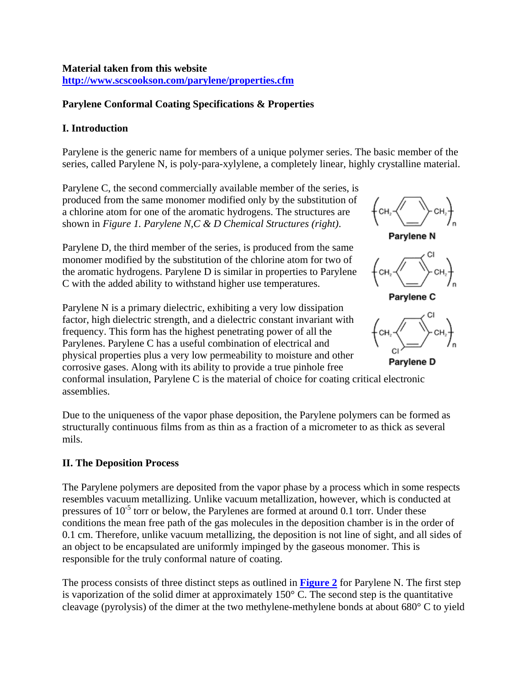# **Parylene Conformal Coating Specifications & Properties**

# **I. Introduction**

Parylene is the generic name for members of a unique polymer series. The basic member of the series, called Parylene N, is poly-para-xylylene, a completely linear, highly crystalline material.

Parylene C, the second commercially available member of the series, is produced from the same monomer modified only by the substitution of a chlorine atom for one of the aromatic hydrogens. The structures are shown in *Figure 1. Parylene N,C & D Chemical Structures (right)*.

Parylene D, the third member of the series, is produced from the same monomer modified by the substitution of the chlorine atom for two of the aromatic hydrogens. Parylene D is similar in properties to Parylene C with the added ability to withstand higher use temperatures.

Parylene N is a primary dielectric, exhibiting a very low dissipation factor, high dielectric strength, and a dielectric constant invariant with frequency. This form has the highest penetrating power of all the Parylenes. Parylene C has a useful combination of electrical and physical properties plus a very low permeability to moisture and other corrosive gases. Along with its ability to provide a true pinhole free



Parylene D

conformal insulation, Parylene C is the material of choice for coating c ritical electronic assemblies.

Due to the uniqueness of the vapor phase deposition, the Parylene polymers can be formed as structurally continuous films from as thin as a fraction of a micrometer to as thick as several mils.

# **II. The Deposition Process**

The Parylene polymers are deposited from the vapor phase by a process which in some respects resembles vacuum metallizing. Unlike vacuum metallization, however, which is conducted at pressures of  $10^{-5}$  torr or below, the Parylenes are formed at around 0.1 torr. Under these conditions the mean free path of the gas molecules in the deposition chamber is in the order of 0.1 cm. Therefore, unlike vacuum metallizing, the deposition is not line of sight, and all sides of an object to be encapsulated are uniformly impinged by the gaseous monomer. This is responsible for the truly conformal nature of coating.

The process consists of three distinct steps as outlined in **Figure 2** for Parylene N. The first step is vaporization of the solid dimer at approximately  $150^{\circ}$  C. The second step is the quantitative cleavage (pyrolysis) of the dimer at the two methylene-methylene bonds at about 680° C to yield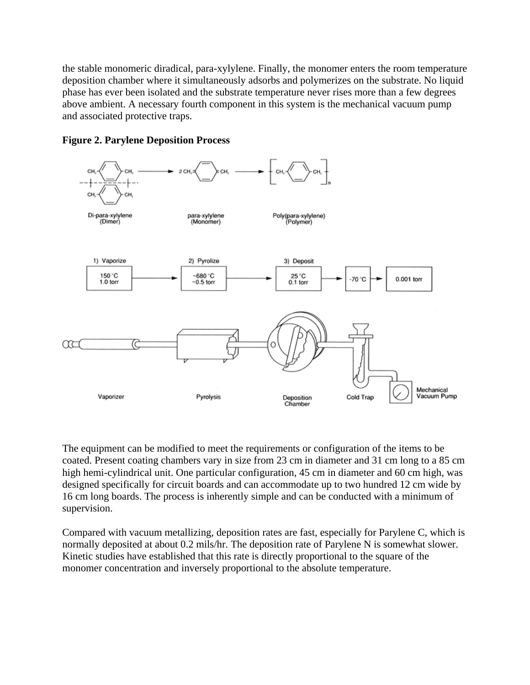the stable monomeric diradical, para-xylylene. Finally, the monomer enters the room temperature deposition chamber where it simultaneously adsorbs and polymerizes on the substrate. No liquid phase has ever been isolated and the substrate temperature never rises more than a few degrees above ambient. A necessary fourth component in this system is the mechanical vacuum pump and associated protective traps.



### **Figure 2. Parylene Deposition Process**

The equipment can be modified to meet the requirements or configuration of the items to be coated. Present coating chambers vary in size from 23 cm in diameter and 31 cm long to a 85 cm high hemi-cylindrical unit. One particular configuration, 45 cm in diameter and 60 cm high, was designed specifically for circuit boards and can accommodate up to two hundred 12 cm wide by 16 cm long boards. The process is inherently simple and can be conducted with a minimum of supervision.

Compared with vacuum metallizing, deposition rates are fast, especially for Parylene C, which is normally deposited at about 0.2 mils/hr. The deposition rate of Parylene N is somewhat slower. Kinetic studies have established that this rate is directly proportional to the square of the monomer concentration and inversely proportional to the absolute temperature.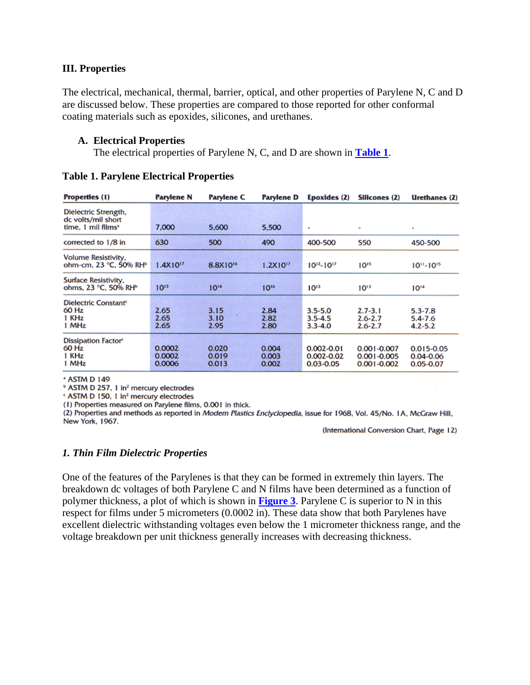#### **III. Properties**

The electrical, mechanical, thermal, barrier, optical, and other properties of Parylene N, C and D are discussed below. These properties are compared to those reported for other conformal coating materials such as epoxides, silicones, and urethanes.

#### **A. Electrical Properties**

The electrical properties of Parylene N, C, and D are shown in **Table 1**.

| <b>Properties</b> (1)                                                        | <b>Parylene N</b>          | <b>Parylene C</b>       | <b>Parylene D</b>       | Epoxides (2)                                      | Silicones (2)                                         | Urethanes (2)                                    |
|------------------------------------------------------------------------------|----------------------------|-------------------------|-------------------------|---------------------------------------------------|-------------------------------------------------------|--------------------------------------------------|
| Dielectric Strength,<br>dc volts/mil short<br>time. 1 mil films <sup>*</sup> | 7.000                      | 5.600                   | 5.500                   | ٠                                                 | ٠                                                     | ÷                                                |
| corrected to 1/8 in                                                          | 630                        | 500                     | 490                     | 400-500                                           | 550                                                   | 450-500                                          |
| Volume Resistivity.<br>ohm-cm, 23 °C, 50% RH <sup>®</sup>                    | 1.4X10 <sup>17</sup>       | 8.8X10 <sup>16</sup>    | $1.2X10^{17}$           | $10^{12} - 10^{17}$                               | $10^{15}$                                             | $10^{11} - 10^{15}$                              |
| Surface Resistivity.<br>ohms, 23 °C, 50% RH <sup>b</sup>                     | $10^{13}$                  | $10^{14}$               | $10^{16}$               | $10^{13}$                                         | $10^{13}$                                             | $10^{14}$                                        |
| Dielectric Constant <sup>e</sup><br>60 Hz<br>1 KHz<br>1 MHz                  | 2.65<br>2.65<br>2.65       | 3.15<br>3.10<br>2.95    | 2.84<br>2.82<br>2.80    | $3.5 - 5.0$<br>$3.5 - 4.5$<br>$3.3 - 4.0$         | $2.7 - 3.1$<br>$2.6 - 2.7$<br>$2.6 - 2.7$             | $5.3 - 7.8$<br>5.4-7.6<br>$4.2 - 5.2$            |
| Dissipation Factor <sup>c</sup><br>60 Hz<br>1 KHz<br>1 MHz                   | 0.0002<br>0.0002<br>0.0006 | 0.020<br>0.019<br>0.013 | 0.004<br>0.003<br>0.002 | $0.002 - 0.01$<br>$0.002 - 0.02$<br>$0.03 - 0.05$ | $0.001 - 0.007$<br>$0.001 - 0.005$<br>$0.001 - 0.002$ | $0.015 - 0.05$<br>$0.04 - 0.06$<br>$0.05 - 0.07$ |

**Table 1. Parylene Electrical Properties** 

\* ASTM D 149

<sup>b</sup> ASTM D 257, 1 in<sup>2</sup> mercury electrodes

« ASTM D 150, 1 in<sup>2</sup> mercury electrodes

(1) Properties measured on Parylene films, 0.001 in thick.

(2) Properties and methods as reported in Modern Plastics Enclyclopedia, issue for 1968, Vol. 45/No. 1A, McGraw Hill, New York, 1967.

(International Conversion Chart, Page 12)

#### *1. Thin Film Dielectric Properties*

One of the features of the Parylenes is that they can be formed in extremely thin layers. The breakdown dc voltages of both Parylene C and N films have been determined as a function of polymer thickness, a plot of which is shown in **Figure 3**. Parylene C is superior to N in this respect for films under 5 micrometers (0.0002 in). These data show that both Parylenes have excellent dielectric withstanding voltages even below the 1 micrometer thickness range, and the voltage breakdown per unit thickness generally increases with decreasing thickness.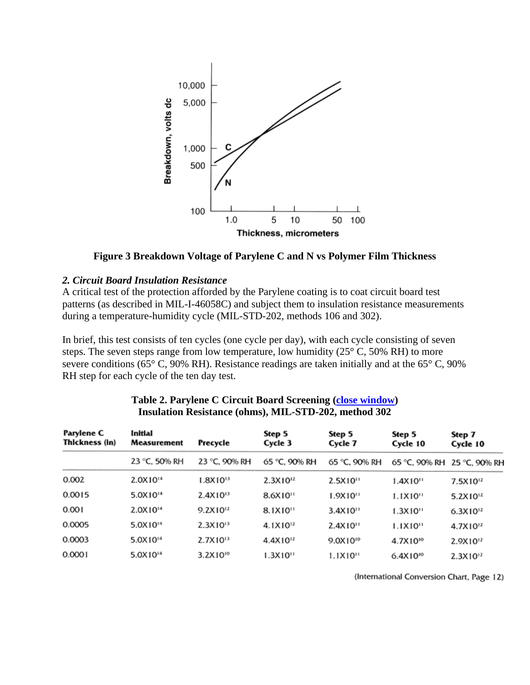

**Figure 3 Breakdown Voltage of Parylene C and N vs Polymer Film Thickness** 

### *2. Circuit Board Insulation Resistance*

A critical test of the protection afforded by the Parylene coating is to coat circuit board test patterns (as described in MIL-I-46058C) and subject them to insulation resistance measurements during a temperature-humidity cycle (MIL-STD-202, methods 106 and 302).

In brief, this test consists of ten cycles (one cycle per day), with each cycle consisting of seven steps. The seven steps range from low temperature, low humidity  $(25^{\circ} \text{ C}, 50\% \text{ RH})$  to more severe conditions (65° C, 90% RH). Resistance readings are taken initially and at the 65° C, 90% RH step for each cycle of the ten day test.

| Parylene C<br>Thickness (in) | Initial<br><b>Measurement</b> | Precycle      | Step 5<br>Cycle 3      | Step 5<br>Cycle 7      | Step 5<br>Cycle 10     | Step 7<br>Cycle 10          |
|------------------------------|-------------------------------|---------------|------------------------|------------------------|------------------------|-----------------------------|
|                              | 23 °C, 50% RH                 | 23 °C, 90% RH | 65 °C. 90% RH          | 65 °C, 90% RH          |                        | 65 °C, 90% RH 25 °C, 90% RH |
| 0.002                        | 2.0X10 <sup>14</sup>          | $1.8X10^{13}$ | $2.3X10^{12}$          | 2.5X10"                | $1.4X10^{11}$          | 7.5X10 <sup>12</sup>        |
| 0.0015                       | 5.0X10 <sup>14</sup>          | $2.4X10^{13}$ | 8.6X10"                | $1.9X10^{11}$          | 1.1X10''               | 5.2X10 <sup>12</sup>        |
| 0.001                        | 2.0X10 <sup>14</sup>          | $9.2X10^{12}$ | $8.1X10$ <sup>11</sup> | $3.4X10$ <sup>11</sup> | $1.3X10$ <sup>11</sup> | $6.3X10^{12}$               |
| 0.0005                       | 5.0X10 <sup>14</sup>          | $2.3X10^{13}$ | 4.1X10 <sup>12</sup>   | $2.4X10^{11}$          | $1.1X10^{11}$          | 4.7X10 <sup>12</sup>        |
| 0.0003                       | 5.0X10 <sup>14</sup>          | $2.7X10^{13}$ | 4.4X10 <sup>12</sup>   | 9.0X10 <sup>10</sup>   | 4.7X10 <sup>10</sup>   | 2.9X10 <sup>12</sup>        |
| 0.0001                       | 5.0X10 <sup>14</sup>          | $3.2X10^{10}$ | 1.3X10"                | $1.1X10^{11}$          | $6.4X10^{10}$          | $2.3X10^{12}$               |

#### **Table 2. Parylene C Circuit Board Screening (close window) Insulation Resistance (ohms), MIL-STD-202, method 302**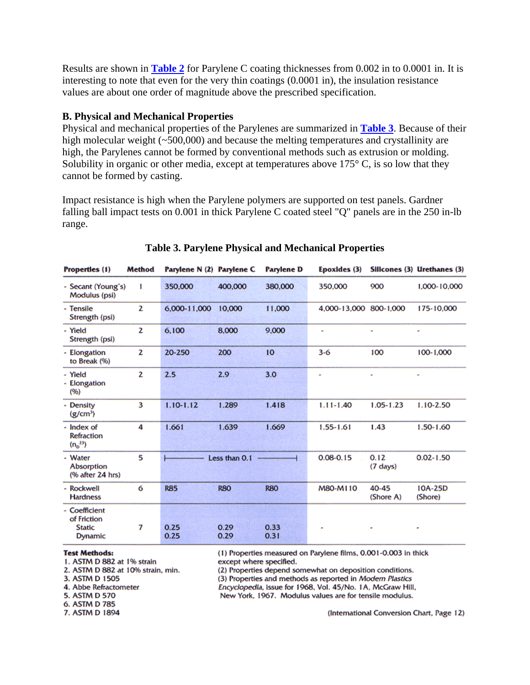Results are shown in **Table 2** for Parylene C coating thicknesses from 0.002 in to 0.0001 in. It is interesting to note that even for the very thin coatings (0.0001 in), the insulation resistance values are about one order of magnitude above the prescribed specification.

### **B. Physical and Mechanical Properties**

Physical and mechanical properties of the Parylenes are summarized in **Table 3**. Because of their high molecular weight (~500,000) and because the melting temperatures and crystallinity are high, the Parylenes cannot be formed by conventional methods such as extrusion or molding. Solubility in organic or other media, except at temperatures above  $175^{\circ}$  C, is so low that they cannot be formed by casting.

Impact resistance is high when the Parylene polymers are supported on test panels. Gardner falling ball impact tests on 0.001 in thick Parylene C coated steel "Q" panels are in the 250 in-lb range.

| Properties (1)                                                  | <b>Method</b> | Parylene N (2) Parylene C |               | <b>Parylene D</b>      | Epoxides (3)           |                            | Silicones (3) Urethanes (3) |
|-----------------------------------------------------------------|---------------|---------------------------|---------------|------------------------|------------------------|----------------------------|-----------------------------|
| - Secant (Young's)<br>Modulus (psi)                             | I             | 350,000                   | 400,000       | 380,000                | 350,000                | 900                        | 1.000-10.000                |
| - Tensile<br>Strength (psi)                                     | 2             | 6,000-11,000              | 10,000        | 11,000                 | 4.000-13.000 800-1.000 |                            | 175-10.000                  |
| - Yield<br>Strength (psi)                                       | 2             | 6,100                     | 8,000         | 9,000                  | ٠                      | ×                          | ٠                           |
| - Elongation<br>to Break (%)                                    | 2             | 20-250                    | 200           | 10                     | $3-6$                  | 100                        | 100-1.000                   |
| - Yield<br>- Elongation<br>(96)                                 | 2             | 2.5                       | 2.9           | 3.0                    | ۰                      | ×                          | ٠                           |
| - Density<br>$(g/cm^3)$                                         | 3             | $1.10 - 1.12$             | 1.289         | 1.418                  | $1.11 - 1.40$          | $1.05 - 1.23$              | $1.10 - 2.50$               |
| - Index of<br><b>Refraction</b><br>$(n_0^{23})$                 | 4             | 1.661                     | 1.639         | 1.669                  | $1.55 - 1.61$          | 1.43                       | $1.50 - 1.60$               |
| - Water<br>Absorption<br>(% after 24 hrs)                       | 5             |                           | Less than 0.1 | ---------------------- | $0.08 - 0.15$          | 0.12<br>$(7 \text{ days})$ | $0.02 - 1.50$               |
| - Rockwell<br><b>Hardness</b>                                   | 6             | <b>R85</b>                | <b>R80</b>    | <b>RBO</b>             | M80-M110               | 40-45<br>(Shore A)         | 10A-25D<br>(Shore)          |
| - Coefficient<br>of Friction<br><b>Static</b><br><b>Dynamic</b> | 7             | 0.25<br>0.25              | 0.29<br>0.29  | 0.33<br>0.31           | ٠                      | ۰                          | ۰                           |

### **Table 3. Parylene Physical and Mechanical Properties**

#### **Test Methods:**

- 1. ASTM D 882 at 1% strain
- 2. ASTM D 882 at 10% strain, min.
- 3. ASTM D 1505
- 4. Abbe Refractometer
- 5. ASTM D 570
- 6. ASTM D 785
- 7. ASTM D 1894

(1) Properties measured on Parylene films, 0.001-0.003 in thick except where specified.

(2) Properties depend somewhat on deposition conditions. (3) Properties and methods as reported in Modern Plastics

Encyclopedia, issue for 1968, Vol. 45/No. 1A, McGraw Hill,

New York, 1967. Modulus values are for tensile modulus.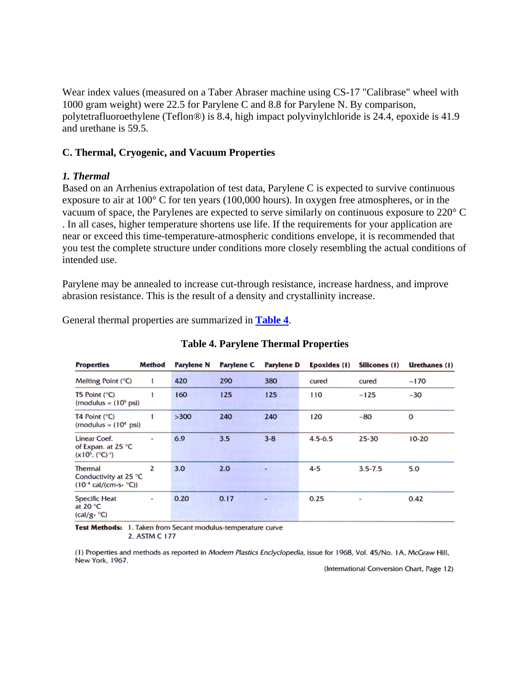Wear index values (measured on a Taber Abraser machine using CS-17 "Calibrase" wheel with 1000 gram weight) were 22.5 for Parylene C and 8.8 for Parylene N. By comparison, polytetrafluoroethylene (Teflon®) is 8.4, high impact polyvinylchloride is 24.4, epoxide is 41.9 and urethane is 59.5.

### **C. Thermal, Cryogenic, and Vacuum Properties**

#### *1. Thermal*

Based on an Arrhenius extrapolation of test data, Parylene C is expected to survive continuous exposure to air at 100° C for ten years (100,000 hours). In oxygen free atmospheres, or in the vacuum of space, the Parylenes are expected to serve similarly on continuous exposure to 220° C . In all cases, higher temperature shortens use life. If the requirements for your application are near or exceed this time-temperature-atmospheric conditions envelope, it is recommended that you test the complete structure under conditions more closely resembling the actual conditions of intended use.

Parylene may be annealed to increase cut-through resistance, increase hardness, and improve abrasion resistance. This is the result of a density and crystallinity increase.

General thermal properties are summarized in **Table 4**.

| <b>Properties</b>                                                               | Method | Parylene N | <b>Parylene C</b> | Parylene D | Epoxides (1) | Silicones (1) | Urethanes (1) |
|---------------------------------------------------------------------------------|--------|------------|-------------------|------------|--------------|---------------|---------------|
| Melting Point $(^{\circ}C)$                                                     |        | 420        | 290               | 380        | cured        | cured         | ~170          |
| T5 Point $(^{\circ}C)$<br>$(modulus = (105 psi)$                                |        | 160        | 125               | 125        | 110          | $-125$        | $-30$         |
| T4 Point $(^{\circ}C)$<br>$(modulus = (104 psi)$                                |        | >300       | 240               | 240        | 120          | $-80$         | o             |
| Linear Coef.<br>of Expan. at 25 °C<br>$(x10^5, (^{\circ}C)^{-1})$               | a,     | 6.9        | 3.5               | $3 - 8$    | $4.5 - 6.5$  | 25-30         | $10 - 20$     |
| <b>Thermal</b><br>Conductivity at 25 °C<br>$(10^{-4}$ cal/(cm-s- $^{\circ}$ C)) | 2      | 3.0        | 2.0               |            | $4 - 5$      | $3.5 - 7.5$   | 5.0           |
| <b>Specific Heat</b><br>at 20 $\degree$ C<br>$(cal/g \cdot {}^{\circ}C)$        | ٠      | 0.20       | 0.17              |            | 0.25         | ۰             | 0.42          |

### **Table 4. Parylene Thermal Properties**

Test Methods: 1. Taken from Secant modulus-temperature curve 2. ASTM C 177

(1) Properties and methods as reported in Modern Plastics Enclyclopedia, issue for 1968, Vol. 45/No. 1A, McGraw Hill, New York, 1967.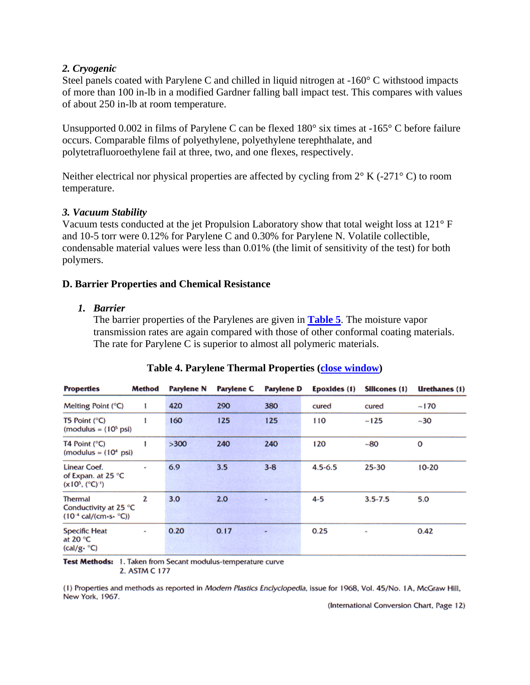### *2. Cryogenic*

Steel panels coated with Parylene C and chilled in liquid nitrogen at -160° C withstood impacts of more than 100 in-lb in a modified Gardner falling ball impact test. This compares with values of about 250 in-lb at room temperature.

Unsupported 0.002 in films of Parylene C can be flexed 180° six times at -165° C before failure occurs. Comparable films of polyethylene, polyethylene terephthalate, and polytetrafluoroethylene fail at three, two, and one flexes, respectively.

Neither electrical nor physical properties are affected by cycling from  $2^{\circ}$  K (-271° C) to room temperature.

### *3. Vacuum Stability*

Vacuum tests conducted at the jet Propulsion Laboratory show that total weight loss at 121° F and 10-5 torr were 0.12% for Parylene C and 0.30% for Parylene N. Volatile collectible, condensable material values were less than 0.01% (the limit of sensitivity of the test) for both polymers.

#### **D. Barrier Properties and Chemical Resistance**

#### *1. Barrier*

The barrier properties of the Parylenes are given in **Table 5**. The moisture vapor transmission rates are again compared with those of other conformal coating materials. The rate for Parylene C is superior to almost all polymeric materials.

| <b>Properties</b>                                                                     | Method                      | Parylene N | <b>Parylene C</b> | Parylene D | Epoxides (1) | Silicones (1) | Urethanes (1) |
|---------------------------------------------------------------------------------------|-----------------------------|------------|-------------------|------------|--------------|---------------|---------------|
| Melting Point (°C)                                                                    | 1                           | 420        | 290               | 380        | cured        | cured         | ~170          |
| T5 Point $(°C)$<br>$(modulus = (105 psi)$                                             |                             | 160        | 125               | 125        | 110          | $-125$        | $~10-30$      |
| T4 Point (°C)<br>$(modulus = (104 psi)$                                               |                             | >300       | 240               | 240        | 120          | $-80$         | o             |
| Linear Coef.<br>of Expan. at 25 °C<br>$(x10^5, (^{\circ}C)^{-1})$                     | $\mathcal{L}_{\mathcal{A}}$ | 6.9        | 3.5               | $3 - 8$    | $4.5 - 6.5$  | $25 - 30$     | $10 - 20$     |
| <b>Thermal</b><br>Conductivity at 25 °C<br>$(10^{-4} \text{ cal/(cm-s. } ^{\circ}C))$ | 2                           | 3.0        | 2.0               |            | $4 - 5$      | $3.5 - 7.5$   | 5.0           |
| Specific Heat<br>at 20 $\degree$ C<br>$(cal/g \cdot {}^{\circ}C)$                     | ٠                           | 0.20       | 0.17              |            | 0.25         | ۰             | 0.42          |

### **Table 4. Parylene Thermal Properties (close window)**

Test Methods: 1. Taken from Secant modulus-temperature curve 2. ASTM C 177

(1) Properties and methods as reported in Modern Plastics Enclyclopedia, issue for 1968, Vol. 45/No. 1A, McGraw Hill, New York, 1967.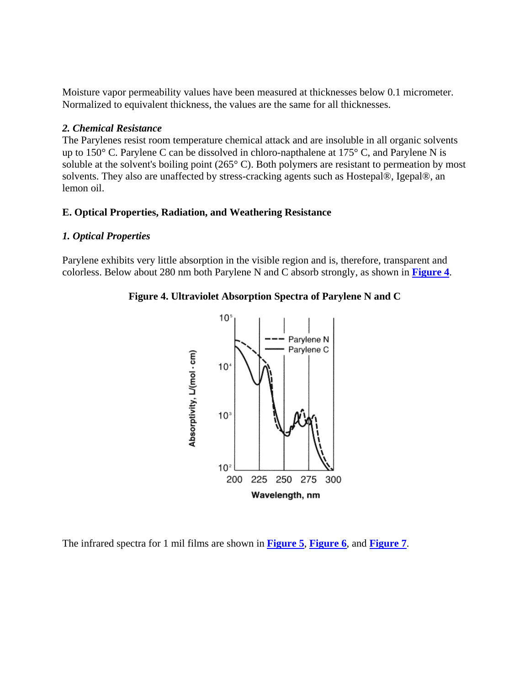Moisture vapor permeability values have been measured at thicknesses below 0.1 micrometer. Normalized to equivalent thickness, the values are the same for all thicknesses.

### *2. Chemical Resistance*

The Parylenes resist room temperature chemical attack and are insoluble in all organic solvents up to 150° C. Parylene C can be dissolved in chloro-napthalene at 175° C, and Parylene N is soluble at the solvent's boiling point (265° C). Both polymers are resistant to permeation by most solvents. They also are unaffected by stress-cracking agents such as Hostepal®, Igepal®, an lemon oil.

### **E. Optical Properties, Radiation, and Weathering Resistance**

### *1. Optical Properties*

Parylene exhibits very little absorption in the visible region and is, therefore, transparent and colorless. Below about 280 nm both Parylene N and C absorb strongly, as shown in **Figure 4**.





The infrared spectra for 1 mil films are shown in **Figure 5**, **Figure 6**, and **Figure 7**.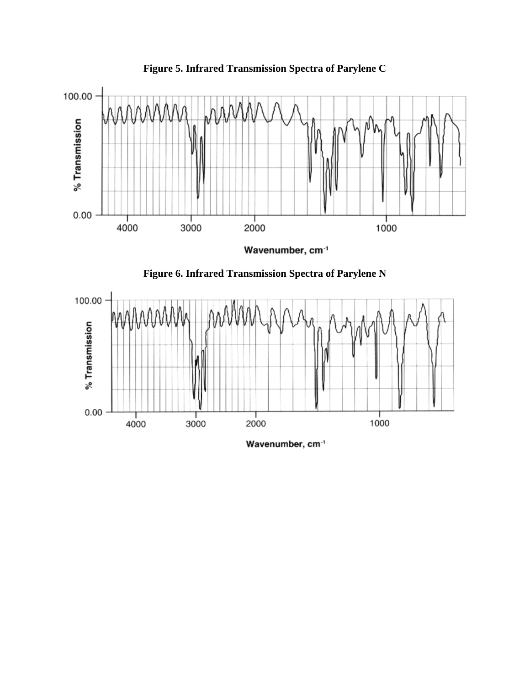

**Figure 5. Infrared Transmission Spectra of Parylene C** 

Wavenumber, cm<sup>-1</sup>





Wavenumber, cm<sup>-1</sup>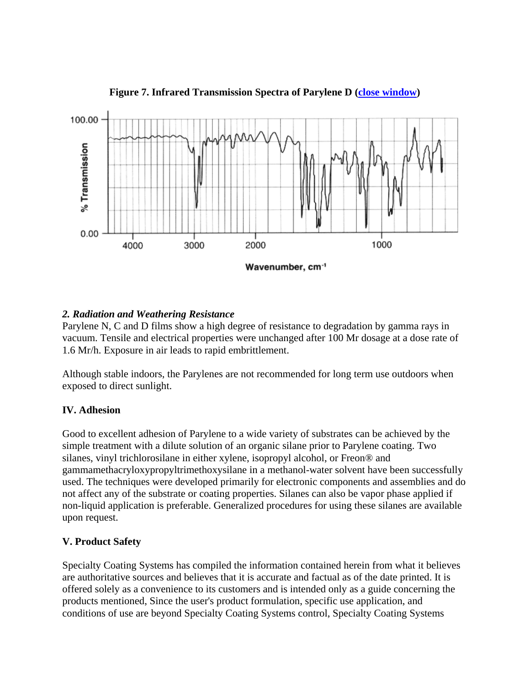

**Figure 7. Infrared Transmission Spectra of Parylene D (close window)**

### *2. Radiation and Weathering Resistance*

Parylene N, C and D films show a high degree of resistance to degradation by gamma rays in vacuum. Tensile and electrical properties were unchanged after 100 Mr dosage at a dose rate of 1.6 Mr/h. Exposure in air leads to rapid embrittlement.

Although stable indoors, the Parylenes are not recommended for long term use outdoors when exposed to direct sunlight.

### **IV. Adhesion**

Good to excellent adhesion of Parylene to a wide variety of substrates can be achieved by the simple treatment with a dilute solution of an organic silane prior to Parylene coating. Two silanes, vinyl trichlorosilane in either xylene, isopropyl alcohol, or Freon® and gammamethacryloxypropyltrimethoxysilane in a methanol-water solvent have been successfully used. The techniques were developed primarily for electronic components and assemblies and do not affect any of the substrate or coating properties. Silanes can also be vapor phase applied if non-liquid application is preferable. Generalized procedures for using these silanes are available upon request.

# **V. Product Safety**

Specialty Coating Systems has compiled the information contained herein from what it believes are authoritative sources and believes that it is accurate and factual as of the date printed. It is offered solely as a convenience to its customers and is intended only as a guide concerning the products mentioned, Since the user's product formulation, specific use application, and conditions of use are beyond Specialty Coating Systems control, Specialty Coating Systems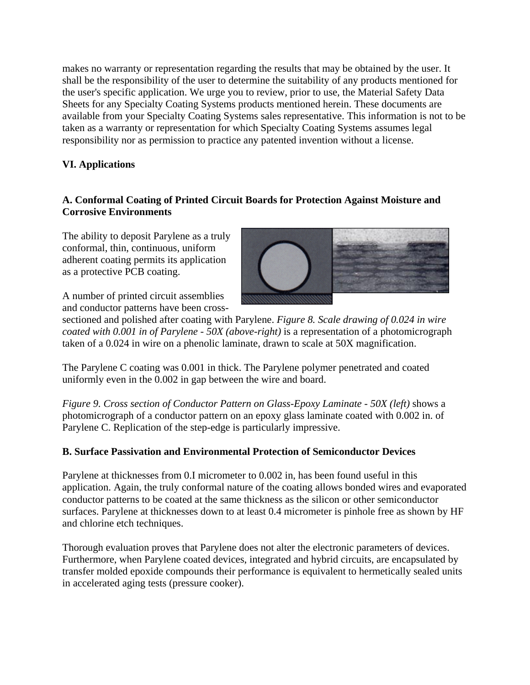makes no warranty or representation regarding the results that may be obtained by the user. It shall be the responsibility of the user to determine the suitability of any products mentioned for the user's specific application. We urge you to review, prior to use, the Material Safety Data Sheets for any Specialty Coating Systems products mentioned herein. These documents are available from your Specialty Coating Systems sales representative. This information is not to be taken as a warranty or representation for which Specialty Coating Systems assumes legal responsibility nor as permission to practice any patented invention without a license.

# **VI. Applications**

## **A. Conformal Coating of Printed Circuit Boards for Protection Against Moisture and Corrosive Environments**

The ability to deposit Parylene as a truly conformal, thin, continuous, uniform adherent coating permits its application as a protective PCB coating.



A number of printed circuit assemblies and conductor patterns have been cross-

sectioned and polished after coating with Parylene. *Figure 8. Scale drawing of 0.024 in wire coated with 0.001 in of Parylene - 50X (above-right)* is a representation of a photomicrograph taken of a 0.024 in wire on a phenolic laminate, drawn to scale at 50X magnification.

The Parylene C coating was 0.001 in thick. The Parylene polymer penetrated and coated uniformly even in the 0.002 in gap between the wire and board.

*Figure 9. Cross section of Conductor Pattern on Glass-Epoxy Laminate - 50X (left)* shows a photomicrograph of a conductor pattern on an epoxy glass laminate coated with 0.002 in. of Parylene C. Replication of the step-edge is particularly impressive.

# **B. Surface Passivation and Environmental Protection of Semiconductor Devices**

Parylene at thicknesses from 0.I micrometer to 0.002 in, has been found useful in this application. Again, the truly conformal nature of the coating allows bonded wires and evaporated conductor patterns to be coated at the same thickness as the silicon or other semiconductor surfaces. Parylene at thicknesses down to at least 0.4 micrometer is pinhole free as shown by HF and chlorine etch techniques.

Thorough evaluation proves that Parylene does not alter the electronic parameters of devices. Furthermore, when Parylene coated devices, integrated and hybrid circuits, are encapsulated by transfer molded epoxide compounds their performance is equivalent to hermetically sealed units in accelerated aging tests (pressure cooker).